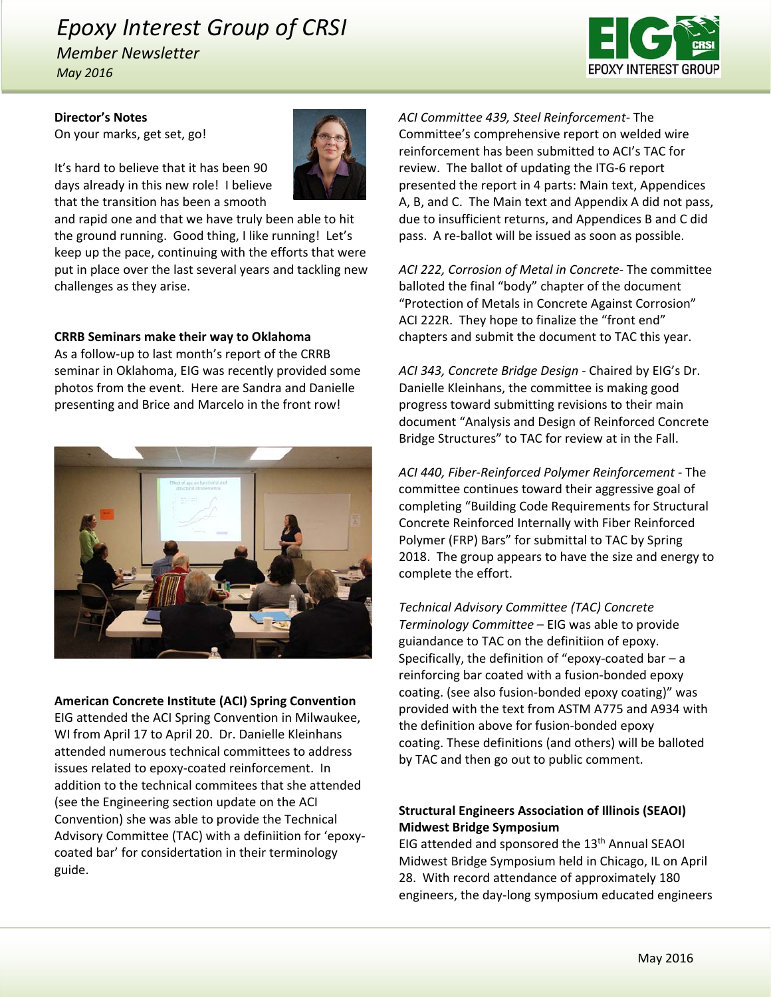# *Epoxy Interest Group of CRSI*

*Member Newsletter May 2016*



**Director's Notes**

On your marks, get set, go!

It's hard to believe that it has been 90 days already in this new role! I believe that the transition has been a smooth

and rapid one and that we have truly been able to hit the ground running. Good thing, I like running! Let's keep up the pace, continuing with the efforts that were put in place over the last several years and tackling new challenges as they arise.

#### **CRRB Seminars make their way to Oklahoma**

As a follow‐up to last month's report of the CRRB seminar in Oklahoma, EIG was recently provided some photos from the event. Here are Sandra and Danielle presenting and Brice and Marcelo in the front row!



#### **American Concrete Institute (ACI) Spring Convention**

EIG attended the ACI Spring Convention in Milwaukee, WI from April 17 to April 20. Dr. Danielle Kleinhans attended numerous technical committees to address issues related to epoxy‐coated reinforcement. In addition to the technical commitees that she attended (see the Engineering section update on the ACI Convention) she was able to provide the Technical Advisory Committee (TAC) with a definiition for 'epoxy‐ coated bar' for considertation in their terminology guide.

*ACI Committee 439, Steel Reinforcement‐* The Committee's comprehensive report on welded wire reinforcement has been submitted to ACI's TAC for review. The ballot of updating the ITG‐6 report presented the report in 4 parts: Main text, Appendices A, B, and C. The Main text and Appendix A did not pass, due to insufficient returns, and Appendices B and C did pass. A re‐ballot will be issued as soon as possible.

*ACI 222, Corrosion of Metal in Concrete‐* The committee balloted the final "body" chapter of the document "Protection of Metals in Concrete Against Corrosion" ACI 222R. They hope to finalize the "front end" chapters and submit the document to TAC this year.

*ACI 343, Concrete Bridge Design ‐* Chaired by EIG's Dr. Danielle Kleinhans, the committee is making good progress toward submitting revisions to their main document "Analysis and Design of Reinforced Concrete Bridge Structures" to TAC for review at in the Fall.

*ACI 440, Fiber‐Reinforced Polymer Reinforcement ‐* The committee continues toward their aggressive goal of completing "Building Code Requirements for Structural Concrete Reinforced Internally with Fiber Reinforced Polymer (FRP) Bars" for submittal to TAC by Spring 2018. The group appears to have the size and energy to complete the effort.

*Technical Advisory Committee (TAC) Concrete Terminology Committee* – EIG was able to provide guiandance to TAC on the definitiion of epoxy. Specifically, the definition of "epoxy-coated bar  $-$  a reinforcing bar coated with a fusion‐bonded epoxy coating. (see also fusion‐bonded epoxy coating)" was provided with the text from ASTM A775 and A934 with the definition above for fusion‐bonded epoxy coating. These definitions (and others) will be balloted by TAC and then go out to public comment.

# **Structural Engineers Association of Illinois (SEAOI) Midwest Bridge Symposium**

EIG attended and sponsored the 13<sup>th</sup> Annual SEAOI Midwest Bridge Symposium held in Chicago, IL on April 28. With record attendance of approximately 180 engineers, the day‐long symposium educated engineers